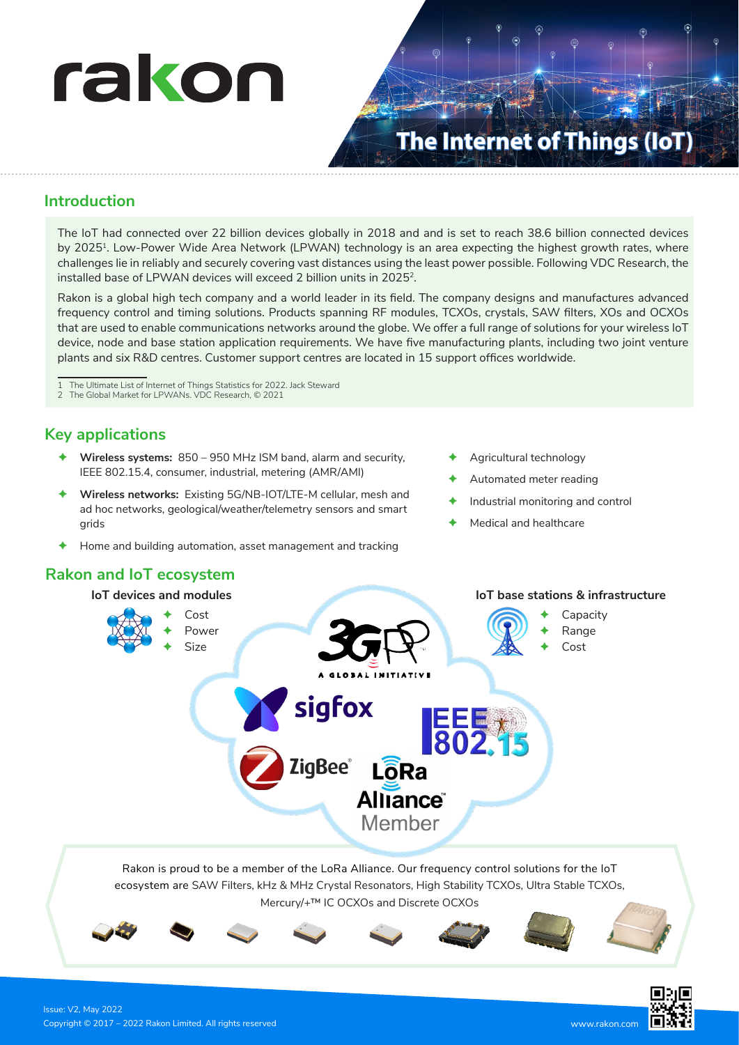

# **The Internet of Things (IoT)**

#### **Introduction**

The IoT had connected over 22 billion devices globally in 2018 and and is set to reach 38.6 billion connected devices by 20251. Low-Power Wide Area Network (LPWAN) technology is an area expecting the highest growth rates, where challenges lie in reliably and securely covering vast distances using the least power possible. Following VDC Research, the installed base of LPWAN devices will exceed 2 billion units in 2025<sup>2</sup>.

Rakon is a global high tech company and a world leader in its field. The company designs and manufactures advanced frequency control and timing solutions. Products spanning RF modules, TCXOs, crystals, SAW filters, XOs and OCXOs that are used to enable communications networks around the globe. We offer a full range of solutions for your wireless IoT device, node and base station application requirements. We have five manufacturing plants, including two joint venture plants and six R&D centres. Customer support centres are located in 15 support offices worldwide.

1 The Ultimate List of Internet of Things Statistics for 2022. Jack Steward

2 The Global Market for LPWANs. VDC Research, © 2021

## **Key applications**

- Ê **Wireless systems:** 850 950 MHz ISM band, alarm and security, IEEE 802.15.4, consumer, industrial, metering (AMR/AMI)
- Wireless networks: Existing 5G/NB-IOT/LTE-M cellular, mesh and ad hoc networks, geological/weather/telemetry sensors and smart grids
- Home and building automation, asset management and tracking

## **Rakon and IoT ecosystem**



- Automated meter reading
- Industrial monitoring and control
- Medical and healthcare